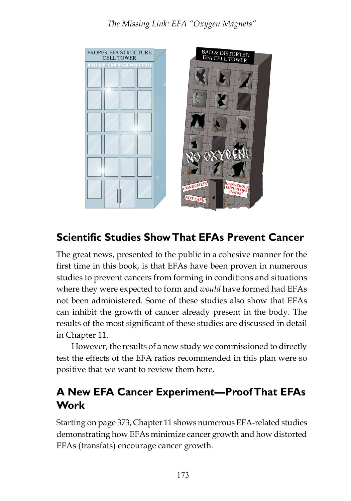*The Missing Link: EFA "Oxygen Magnets"*



# **Scientific Studies Show That EFAs Prevent Cancer**

The great news, presented to the public in a cohesive manner for the first time in this book, is that EFAs have been proven in numerous studies to prevent cancers from forming in conditions and situations where they were expected to form and *would* have formed had EFAs not been administered. Some of these studies also show that EFAs can inhibit the growth of cancer already present in the body. The results of the most significant of these studies are discussed in detail in Chapter 11.

However, the results of a new study we commissioned to directly test the effects of the EFA ratios recommended in this plan were so positive that we want to review them here.

## **A New EFA Cancer Experiment—Proof That EFAs Work**

Starting on page 373, Chapter 11 shows numerous EFA-related studies demonstrating how EFAs minimize cancer growth and how distorted EFAs (transfats) encourage cancer growth.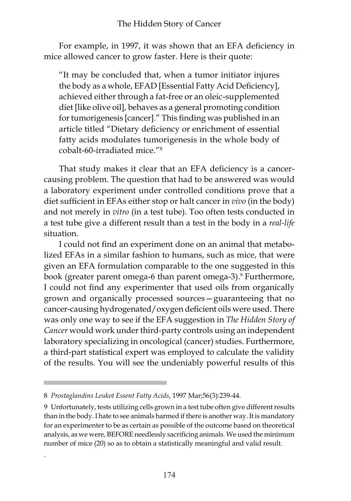### The Hidden Story of Cancer

For example, in 1997, it was shown that an EFA deficiency in mice allowed cancer to grow faster. Here is their quote:

"It may be concluded that, when a tumor initiator injures the body as a whole, EFAD [Essential Fatty Acid Deficiency], achieved either through a fat-free or an oleic-supplemented diet [like olive oil], behaves as a general promoting condition for tumorigenesis [cancer]." This finding was published in an article titled "Dietary deficiency or enrichment of essential fatty acids modulates tumorigenesis in the whole body of cobalt-60-irradiated mice."

That study makes it clear that an EFA deficiency is a cancercausing problem. The question that had to be answered was would a laboratory experiment under controlled conditions prove that a diet sufficient in EFAs either stop or halt cancer in *vivo* (in the body) and not merely in *vitro* (in a test tube). Too often tests conducted in a test tube give a different result than a test in the body in a *real-life* situation.

I could not find an experiment done on an animal that metabolized EFAs in a similar fashion to humans, such as mice, that were given an EFA formulation comparable to the one suggested in this book (greater parent omega-6 than parent omega-3). Furthermore, I could not find any experimenter that used oils from organically grown and organically processed sources—guaranteeing that no cancer-causing hydrogenated/oxygen deficient oils were used. There was only one way to see if the EFA suggestion in *The Hidden Story of Cancer* would work under third-party controls using an independent laboratory specializing in oncological (cancer) studies. Furthermore, a third-part statistical expert was employed to calculate the validity of the results. You will see the undeniably powerful results of this

.

*Prostaglandins Leukot Essent Fatty Acids*, 1997 Mar;56(3):239-44.

Unfortunately, tests utilizing cells grown in a test tube often give different results than in the body. I hate to see animals harmed if there is another way. It is mandatory for an experimenter to be as certain as possible of the outcome based on theoretical analysis, as we were, BEFORE needlessly sacrificing animals. We used the minimum number of mice (20) so as to obtain a statistically meaningful and valid result.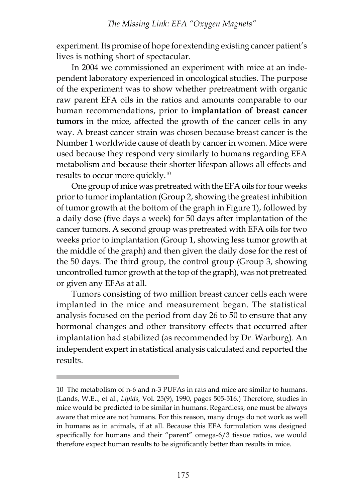#### *The Missing Link: EFA "Oxygen Magnets"*

experiment. Its promise of hope for extending existing cancer patient's lives is nothing short of spectacular.

In 2004 we commissioned an experiment with mice at an independent laboratory experienced in oncological studies. The purpose of the experiment was to show whether pretreatment with organic raw parent EFA oils in the ratios and amounts comparable to our human recommendations, prior to **implantation of breast cancer tumors** in the mice, affected the growth of the cancer cells in any way. A breast cancer strain was chosen because breast cancer is the Number 1 worldwide cause of death by cancer in women. Mice were used because they respond very similarly to humans regarding EFA metabolism and because their shorter lifespan allows all effects and results to occur more quickly.10

One group of mice was pretreated with the EFA oils for four weeks prior to tumor implantation (Group 2, showing the greatest inhibition of tumor growth at the bottom of the graph in Figure 1), followed by a daily dose (five days a week) for 50 days after implantation of the cancer tumors. A second group was pretreated with EFA oils for two weeks prior to implantation (Group 1, showing less tumor growth at the middle of the graph) and then given the daily dose for the rest of the 50 days. The third group, the control group (Group 3, showing uncontrolled tumor growth at the top of the graph), was not pretreated or given any EFAs at all.

Tumors consisting of two million breast cancer cells each were implanted in the mice and measurement began. The statistical analysis focused on the period from day 26 to 50 to ensure that any hormonal changes and other transitory effects that occurred after implantation had stabilized (as recommended by Dr. Warburg). An independent expert in statistical analysis calculated and reported the results.

<sup>10</sup> The metabolism of n-6 and n-3 PUFAs in rats and mice are similar to humans. (Lands, W.E.., et al., *Lipids*, Vol. 25(9), 1990, pages 505-516.) Therefore, studies in mice would be predicted to be similar in humans. Regardless, one must be always aware that mice are not humans. For this reason, many drugs do not work as well in humans as in animals, if at all. Because this EFA formulation was designed specifically for humans and their "parent" omega-6/3 tissue ratios, we would therefore expect human results to be significantly better than results in mice.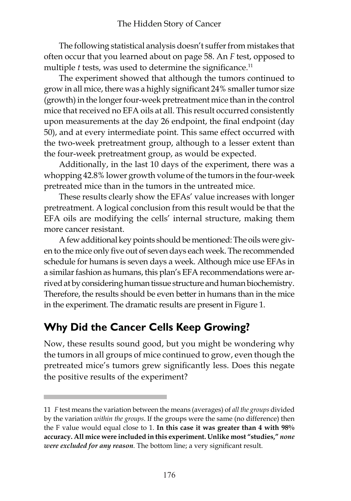The following statistical analysis doesn't suffer from mistakes that often occur that you learned about on page 58. An *F* test, opposed to multiple *t* tests, was used to determine the significance.<sup>11</sup>

The experiment showed that although the tumors continued to grow in all mice, there was a highly significant 24% smaller tumor size (growth) in the longer four-week pretreatment mice than in the control mice that received no EFA oils at all. This result occurred consistently upon measurements at the day 26 endpoint, the final endpoint (day 50), and at every intermediate point. This same effect occurred with the two-week pretreatment group, although to a lesser extent than the four-week pretreatment group, as would be expected.

Additionally, in the last 10 days of the experiment, there was a whopping 42.8% lower growth volume of the tumors in the four-week pretreated mice than in the tumors in the untreated mice.

These results clearly show the EFAs' value increases with longer pretreatment. A logical conclusion from this result would be that the EFA oils are modifying the cells' internal structure, making them more cancer resistant.

A few additional key points should be mentioned: The oils were given to the mice only five out of seven days each week. The recommended schedule for humans is seven days a week. Although mice use EFAs in a similar fashion as humans, this plan's EFA recommendations were arrived at by considering human tissue structure and human biochemistry. Therefore, the results should be even better in humans than in the mice in the experiment. The dramatic results are present in Figure 1.

### **Why Did the Cancer Cells Keep Growing?**

Now, these results sound good, but you might be wondering why the tumors in all groups of mice continued to grow, even though the pretreated mice's tumors grew significantly less. Does this negate the positive results of the experiment?

<sup>11</sup> *F* test means the variation between the means (averages) of *all the groups* divided by the variation *within the groups*. If the groups were the same (no difference) then the F value would equal close to 1. **In this case it was greater than 4 with 98% accuracy. All mice were included in this experiment. Unlike most "studies,"** *none were excluded for any reason*. The bottom line; a very significant result.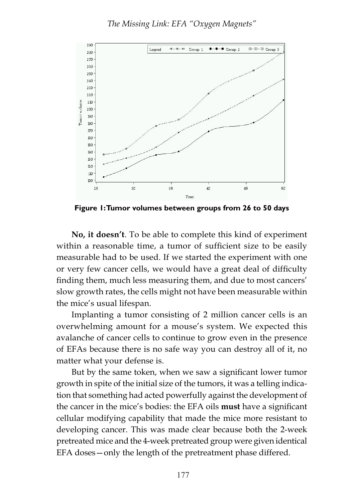

**Figure 1: Tumor volumes between groups from 26 to 50 days**

**No, it doesn't**. To be able to complete this kind of experiment within a reasonable time, a tumor of sufficient size to be easily measurable had to be used. If we started the experiment with one or very few cancer cells, we would have a great deal of difficulty finding them, much less measuring them, and due to most cancers' slow growth rates, the cells might not have been measurable within the mice's usual lifespan.

Implanting a tumor consisting of 2 million cancer cells is an overwhelming amount for a mouse's system. We expected this avalanche of cancer cells to continue to grow even in the presence of EFAs because there is no safe way you can destroy all of it, no matter what your defense is.

But by the same token, when we saw a significant lower tumor growth in spite of the initial size of the tumors, it was a telling indication that something had acted powerfully against the development of the cancer in the mice's bodies: the EFA oils **must** have a significant cellular modifying capability that made the mice more resistant to developing cancer. This was made clear because both the 2-week pretreated mice and the 4-week pretreated group were given identical EFA doses—only the length of the pretreatment phase differed.